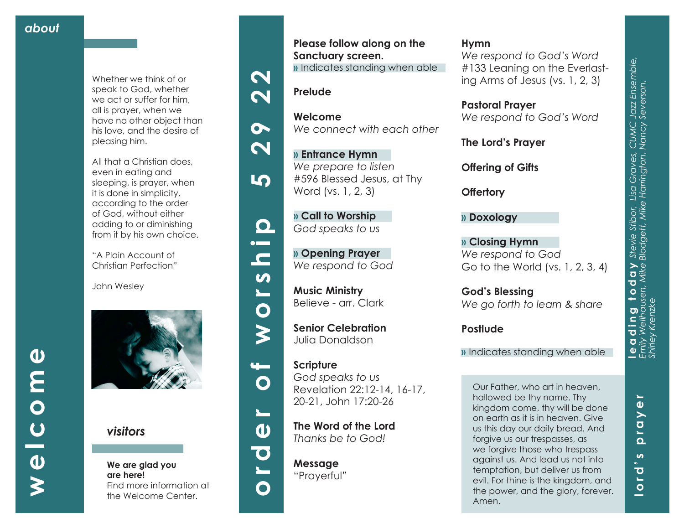Whether we think of or speak to God, whether we act or suffer for him, all is prayer, when we have no other object than his love, and the desire of pleasing him.

All that a Christian does, even in eating and sleeping, is prayer, when it is done in simplicity, according to the order of God, without either adding to or diminishing from it by his own choice.

"A Plain Account of Christian Perfection"

John Wesley



*visitors*

**We are glad you are here!** Find more information at the Welcome Center.



**Welcome**

**» Entrance Hymn**  *We prepare to listen*

Word (vs. 1, 2, 3)

**» Call to Worship**  *God speaks to us*

**» Opening Prayer**  *We respond to God*

**Senior Celebration** Julia Donaldson

**Music Ministry**  Believe - arr. Clark

*We connect with each other* 

#596 Blessed Jesus, at Thy











 $\mathbf O$ 

┺

 $\boldsymbol{\omega}$ 

O<br>L

 $\mathbf O$ 

**Scripture** *God speaks to us* Revelation 22:12-14, 16-17, 20-21, John 17:20-26 **The Word of the Lord** 

*Thanks be to God!*

**Message** "Prayerful"

### **Hymn**

*We respond to God's Word*  #133 Leaning on the Everlast ing Arms of Jesus (vs. 1, 2, 3)

**Pastoral Prayer** *We respond to God's Word*

**The Lord's Prayer**

**Offering of Gifts** 

**Offertory**

**» Doxology**

**» Closing Hymn** *We respond to God* Go to the World (vs. 1, 2, 3, 4)

**God's Blessing** *We go forth to learn & share*

**Postlude**

**»** Indicates standing when able

Our Father, who art in heaven, hallowed be thy name. Thy kingdom come, thy will be done on earth as it is in heaven. Give us this day our daily bread. And forgive us our trespasses, as we forgive those who trespass against us. And lead us not into temptation, but deliver us from evil. For thine is the kingdom, and the power, and the glory, forever. Amen.

**lord's prayer**

 $\boldsymbol{\omega}$  $\overline{\mathbf{o}}$  $\blacksquare$ 

 $\bullet$ and the contract of the contract of the contract of the contract of the contract of the contract of the contract of the contract of the contract of the contract of the contract of the contract of the contract of the contra

£.  $\Omega$ 

 $\mathbf{r}$ 

 $\mathbf{\omega}$  $\geq$  *Shirley Krenzke* 

 $\overline{O}$ **Le d**<br>Emi∖<br>Shirle

**leading today** *Stevie Stibor, Lisa Graves, CUMC Jazz Ensemble, Emily Wellhausen, Mike Blodgett, Mike Harrington, Nancy Severson,* 

**d i n g t o d a y** Stevie Stibor, Lisa Graves, CUMC Jazz Ensemble,<br>Wellhausen, Mike Blodgett, Mike Harrington, Nancy Severson,<br>y Krenzke